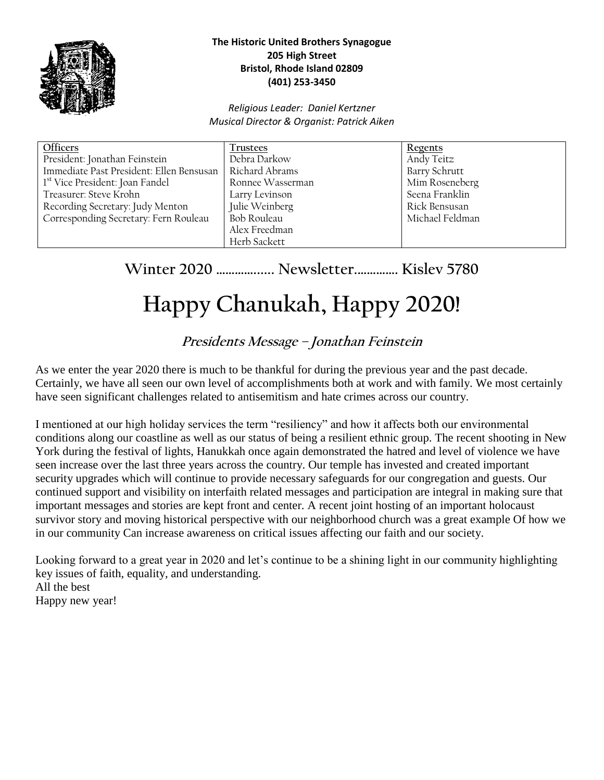

#### **The Historic United Brothers Synagogue 205 High Street Bristol, Rhode Island 02809 (401) 253-3450**

#### *Religious Leader: Daniel Kertzner Musical Director & Organist: Patrick Aiken*

| <b>Trustees</b>  | Regents              |
|------------------|----------------------|
| Debra Darkow     | Andy Teitz           |
| Richard Abrams   | <b>Barry Schrutt</b> |
| Ronnee Wasserman | Mim Roseneberg       |
| Larry Levinson   | Seena Franklin       |
| Julie Weinberg   | Rick Bensusan        |
| Bob Rouleau      | Michael Feldman      |
| Alex Freedman    |                      |
| Herb Sackett     |                      |
|                  |                      |

# **Winter 2020 …………...... Newsletter.…………. Kislev 5780**

# **Happy Chanukah, Happy 2020!**

# **Presidents Message – Jonathan Feinstein**

As we enter the year 2020 there is much to be thankful for during the previous year and the past decade. Certainly, we have all seen our own level of accomplishments both at work and with family. We most certainly have seen significant challenges related to antisemitism and hate crimes across our country.

I mentioned at our high holiday services the term "resiliency" and how it affects both our environmental conditions along our coastline as well as our status of being a resilient ethnic group. The recent shooting in New York during the festival of lights, Hanukkah once again demonstrated the hatred and level of violence we have seen increase over the last three years across the country. Our temple has invested and created important security upgrades which will continue to provide necessary safeguards for our congregation and guests. Our continued support and visibility on interfaith related messages and participation are integral in making sure that important messages and stories are kept front and center. A recent joint hosting of an important holocaust survivor story and moving historical perspective with our neighborhood church was a great example Of how we in our community Can increase awareness on critical issues affecting our faith and our society.

Looking forward to a great year in 2020 and let's continue to be a shining light in our community highlighting key issues of faith, equality, and understanding. All the best Happy new year!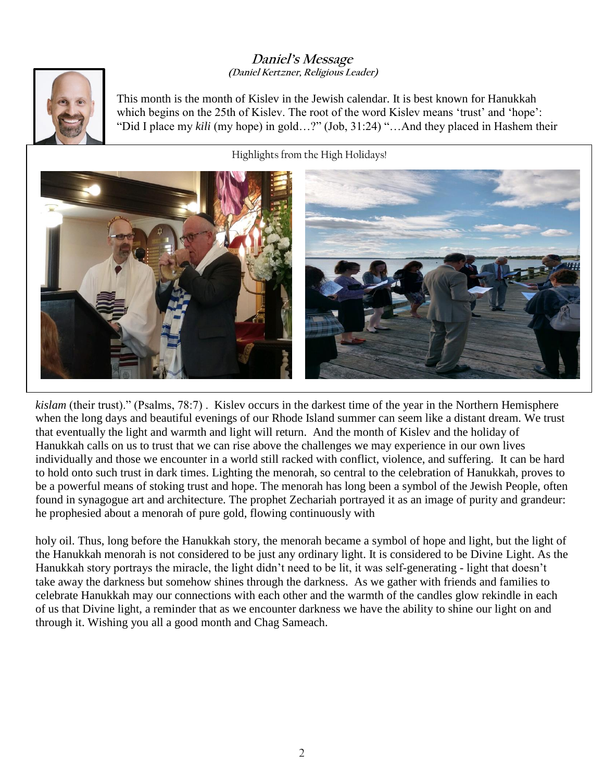#### **Daniel's Message (Daniel Kertzner, Religious Leader)**



This month is the month of Kislev in the Jewish calendar. It is best known for Hanukkah which begins on the 25th of Kislev. The root of the word Kislev means 'trust' and 'hope': "Did I place my *kili* (my hope) in gold…?" (Job, 31:24) "…And they placed in Hashem their

Highlights from the High Holidays!



*kislam* (their trust)." (Psalms, 78:7) . Kislev occurs in the darkest time of the year in the Northern Hemisphere when the long days and beautiful evenings of our Rhode Island summer can seem like a distant dream. We trust that eventually the light and warmth and light will return. And the month of Kislev and the holiday of Hanukkah calls on us to trust that we can rise above the challenges we may experience in our own lives individually and those we encounter in a world still racked with conflict, violence, and suffering. It can be hard to hold onto such trust in dark times. Lighting the menorah, so central to the celebration of Hanukkah, proves to be a powerful means of stoking trust and hope. The menorah has long been a symbol of the Jewish People, often found in synagogue art and architecture. The prophet Zechariah portrayed it as an image of purity and grandeur: he prophesied about a menorah of pure gold, flowing continuously with

holy oil. Thus, long before the Hanukkah story, the menorah became a symbol of hope and light, but the light of the Hanukkah menorah is not considered to be just any ordinary light. It is considered to be Divine Light. As the Hanukkah story portrays the miracle, the light didn't need to be lit, it was self-generating - light that doesn't take away the darkness but somehow shines through the darkness. As we gather with friends and families to celebrate Hanukkah may our connections with each other and the warmth of the candles glow rekindle in each of us that Divine light, a reminder that as we encounter darkness we have the ability to shine our light on and through it. Wishing you all a good month and Chag Sameach.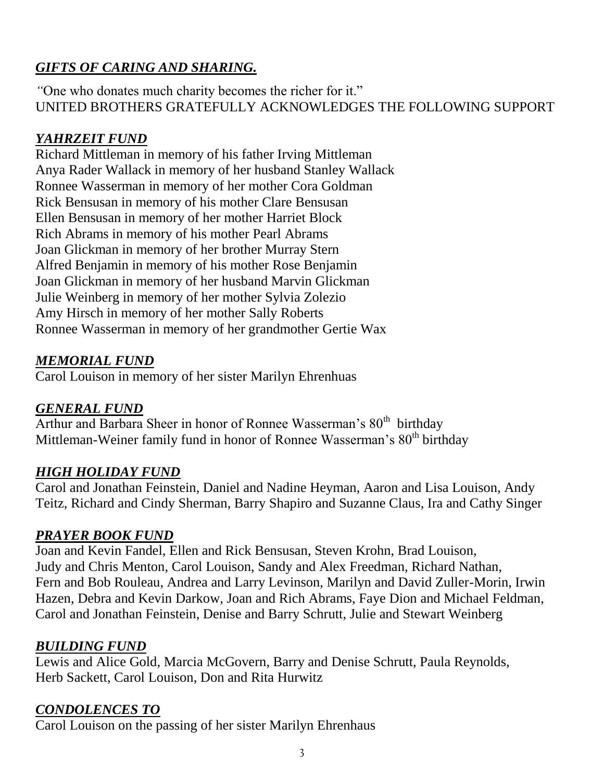# *GIFTS OF CARING AND SHARING.*

*"*One who donates much charity becomes the richer for it." UNITED BROTHERS GRATEFULLY ACKNOWLEDGES THE FOLLOWING SUPPORT

# *YAHRZEIT FUND*

Richard Mittleman in memory of his father Irving Mittleman Anya Rader Wallack in memory of her husband Stanley Wallack Ronnee Wasserman in memory of her mother Cora Goldman Rick Bensusan in memory of his mother Clare Bensusan Ellen Bensusan in memory of her mother Harriet Block Rich Abrams in memory of his mother Pearl Abrams Joan Glickman in memory of her brother Murray Stern Alfred Benjamin in memory of his mother Rose Benjamin Joan Glickman in memory of her husband Marvin Glickman Julie Weinberg in memory of her mother Sylvia Zolezio Amy Hirsch in memory of her mother Sally Roberts Ronnee Wasserman in memory of her grandmother Gertie Wax

# *MEMORIAL FUND*

Carol Louison in memory of her sister Marilyn Ehrenhuas

# *GENERAL FUND*

Arthur and Barbara Sheer in honor of Ronnee Wasserman's 80<sup>th</sup> birthday Mittleman-Weiner family fund in honor of Ronnee Wasserman's 80<sup>th</sup> birthday

# *HIGH HOLIDAY FUND*

Carol and Jonathan Feinstein, Daniel and Nadine Heyman, Aaron and Lisa Louison, Andy Teitz, Richard and Cindy Sherman, Barry Shapiro and Suzanne Claus, Ira and Cathy Singer

# *PRAYER BOOK FUND*

Joan and Kevin Fandel, Ellen and Rick Bensusan, Steven Krohn, Brad Louison, Judy and Chris Menton, Carol Louison, Sandy and Alex Freedman, Richard Nathan, Fern and Bob Rouleau, Andrea and Larry Levinson, Marilyn and David Zuller-Morin, Irwin Hazen, Debra and Kevin Darkow, Joan and Rich Abrams, Faye Dion and Michael Feldman, Carol and Jonathan Feinstein, Denise and Barry Schrutt, Julie and Stewart Weinberg

# *BUILDING FUND*

Lewis and Alice Gold, Marcia McGovern, Barry and Denise Schrutt, Paula Reynolds, Herb Sackett, Carol Louison, Don and Rita Hurwitz

# *CONDOLENCES TO*

Carol Louison on the passing of her sister Marilyn Ehrenhaus